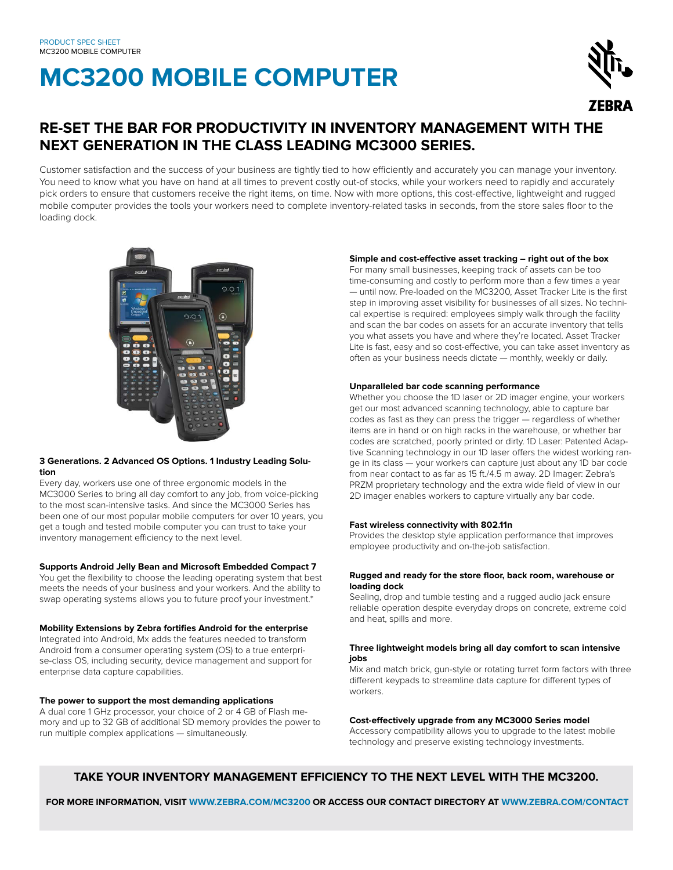# **MC3200 MOBILE COMPUTER**



### **RE-SET THE BAR FOR PRODUCTIVITY IN INVENTORY MANAGEMENT WITH THE NEXT GENERATION IN THE CLASS LEADING MC3000 SERIES.**

Customer satisfaction and the success of your business are tightly tied to how efficiently and accurately you can manage your inventory. You need to know what you have on hand at all times to prevent costly out-of stocks, while your workers need to rapidly and accurately pick orders to ensure that customers receive the right items, on time. Now with more options, this cost-effective, lightweight and rugged mobile computer provides the tools your workers need to complete inventory-related tasks in seconds, from the store sales floor to the loading dock.



#### **3 Generations. 2 Advanced OS Options. 1 Industry Leading Solution**

Every day, workers use one of three ergonomic models in the MC3000 Series to bring all day comfort to any job, from voice-picking to the most scan-intensive tasks. And since the MC3000 Series has been one of our most popular mobile computers for over 10 years, you get a tough and tested mobile computer you can trust to take your inventory management efficiency to the next level.

#### **Supports Android Jelly Bean and Microsoft Embedded Compact 7**

You get the flexibility to choose the leading operating system that best meets the needs of your business and your workers. And the ability to swap operating systems allows you to future proof your investment.\*

#### **Mobility Extensions by Zebra fortifies Android for the enterprise**

Integrated into Android, Mx adds the features needed to transform Android from a consumer operating system (OS) to a true enterprise-class OS, including security, device management and support for enterprise data capture capabilities.

#### **The power to support the most demanding applications**

A dual core 1 GHz processor, your choice of 2 or 4 GB of Flash memory and up to 32 GB of additional SD memory provides the power to run multiple complex applications — simultaneously.

#### **Simple and cost-effective asset tracking – right out of the box**

For many small businesses, keeping track of assets can be too time-consuming and costly to perform more than a few times a year — until now. Pre-loaded on the MC3200, Asset Tracker Lite is the first step in improving asset visibility for businesses of all sizes. No technical expertise is required: employees simply walk through the facility and scan the bar codes on assets for an accurate inventory that tells you what assets you have and where they're located. Asset Tracker Lite is fast, easy and so cost-effective, you can take asset inventory as often as your business needs dictate — monthly, weekly or daily.

#### **Unparalleled bar code scanning performance**

Whether you choose the 1D laser or 2D imager engine, your workers get our most advanced scanning technology, able to capture bar codes as fast as they can press the trigger — regardless of whether items are in hand or on high racks in the warehouse, or whether bar codes are scratched, poorly printed or dirty. 1D Laser: Patented Adaptive Scanning technology in our 1D laser offers the widest working range in its class — your workers can capture just about any 1D bar code from near contact to as far as 15 ft./4.5 m away. 2D Imager: Zebra's PRZM proprietary technology and the extra wide field of view in our 2D imager enables workers to capture virtually any bar code.

#### **Fast wireless connectivity with 802.11n**

Provides the desktop style application performance that improves employee productivity and on-the-job satisfaction.

#### **Rugged and ready for the store floor, back room, warehouse or loading dock**

Sealing, drop and tumble testing and a rugged audio jack ensure reliable operation despite everyday drops on concrete, extreme cold and heat, spills and more.

#### **Three lightweight models bring all day comfort to scan intensive jobs**

Mix and match brick, gun-style or rotating turret form factors with three different keypads to streamline data capture for different types of workers.

#### **Cost-effectively upgrade from any MC3000 Series model**

Accessory compatibility allows you to upgrade to the latest mobile technology and preserve existing technology investments.

#### **TAKE YOUR INVENTORY MANAGEMENT EFFICIENCY TO THE NEXT LEVEL WITH THE MC3200.**

 **FOR MORE INFORMATION, VISIT WWW.ZEBRA.COM/MC3200 OR ACCESS OUR CONTACT DIRECTORY AT WWW.ZEBRA.COM/CONTACT**